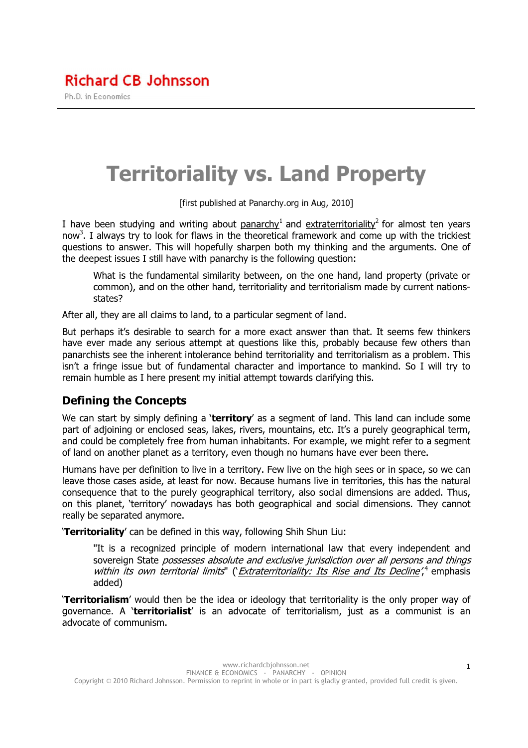# Territoriality vs. Land Property

[first published at Panarchy.org in Aug, 2010]

I have been studying and writing about panarchy<sup>1</sup> and extraterritoriality<sup>2</sup> for almost ten years now<sup>3</sup>. I always try to look for flaws in the theoretical framework and come up with the trickiest questions to answer. This will hopefully sharpen both my thinking and the arguments. One of the deepest issues I still have with panarchy is the following question:

What is the fundamental similarity between, on the one hand, land property (private or common), and on the other hand, territoriality and territorialism made by current nationsstates?

After all, they are all claims to land, to a particular segment of land.

But perhaps it's desirable to search for a more exact answer than that. It seems few thinkers have ever made any serious attempt at questions like this, probably because few others than panarchists see the inherent intolerance behind territoriality and territorialism as a problem. This isn't a fringe issue but of fundamental character and importance to mankind. So I will try to remain humble as I here present my initial attempt towards clarifying this.

### Defining the Concepts

We can start by simply defining a 'territory' as a segment of land. This land can include some part of adjoining or enclosed seas, lakes, rivers, mountains, etc. It's a purely geographical term, and could be completely free from human inhabitants. For example, we might refer to a segment of land on another planet as a territory, even though no humans have ever been there.

Humans have per definition to live in a territory. Few live on the high sees or in space, so we can leave those cases aside, at least for now. Because humans live in territories, this has the natural consequence that to the purely geographical territory, also social dimensions are added. Thus, on this planet, 'territory' nowadays has both geographical and social dimensions. They cannot really be separated anymore.

'Territoriality' can be defined in this way, following Shih Shun Liu:

"It is a recognized principle of modern international law that every independent and sovereign State possesses absolute and exclusive jurisdiction over all persons and things within its own territorial limits" (*Extraterritoriality: Its Rise and Its Decline'*,<sup>4</sup> emphasis added)

'Territorialism' would then be the idea or ideology that territoriality is the only proper way of governance. A 'territorialist' is an advocate of territorialism, just as a communist is an advocate of communism.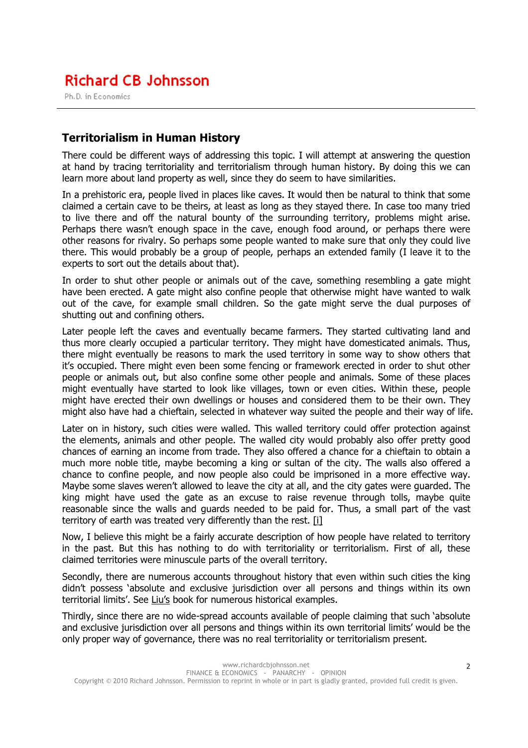Ph.D. in Economics

#### Territorialism in Human History

There could be different ways of addressing this topic. I will attempt at answering the question at hand by tracing territoriality and territorialism through human history. By doing this we can learn more about land property as well, since they do seem to have similarities.

In a prehistoric era, people lived in places like caves. It would then be natural to think that some claimed a certain cave to be theirs, at least as long as they stayed there. In case too many tried to live there and off the natural bounty of the surrounding territory, problems might arise. Perhaps there wasn't enough space in the cave, enough food around, or perhaps there were other reasons for rivalry. So perhaps some people wanted to make sure that only they could live there. This would probably be a group of people, perhaps an extended family (I leave it to the experts to sort out the details about that).

In order to shut other people or animals out of the cave, something resembling a gate might have been erected. A gate might also confine people that otherwise might have wanted to walk out of the cave, for example small children. So the gate might serve the dual purposes of shutting out and confining others.

Later people left the caves and eventually became farmers. They started cultivating land and thus more clearly occupied a particular territory. They might have domesticated animals. Thus, there might eventually be reasons to mark the used territory in some way to show others that it's occupied. There might even been some fencing or framework erected in order to shut other people or animals out, but also confine some other people and animals. Some of these places might eventually have started to look like villages, town or even cities. Within these, people might have erected their own dwellings or houses and considered them to be their own. They might also have had a chieftain, selected in whatever way suited the people and their way of life.

Later on in history, such cities were walled. This walled territory could offer protection against the elements, animals and other people. The walled city would probably also offer pretty good chances of earning an income from trade. They also offered a chance for a chieftain to obtain a much more noble title, maybe becoming a king or sultan of the city. The walls also offered a chance to confine people, and now people also could be imprisoned in a more effective way. Maybe some slaves weren't allowed to leave the city at all, and the city gates were guarded. The king might have used the gate as an excuse to raise revenue through tolls, maybe quite reasonable since the walls and guards needed to be paid for. Thus, a small part of the vast territory of earth was treated very differently than the rest. [i]

Now, I believe this might be a fairly accurate description of how people have related to territory in the past. But this has nothing to do with territoriality or territorialism. First of all, these claimed territories were minuscule parts of the overall territory.

Secondly, there are numerous accounts throughout history that even within such cities the king didn't possess 'absolute and exclusive jurisdiction over all persons and things within its own territorial limits'. See Liu's book for numerous historical examples.

Thirdly, since there are no wide-spread accounts available of people claiming that such 'absolute and exclusive jurisdiction over all persons and things within its own territorial limits' would be the only proper way of governance, there was no real territoriality or territorialism present.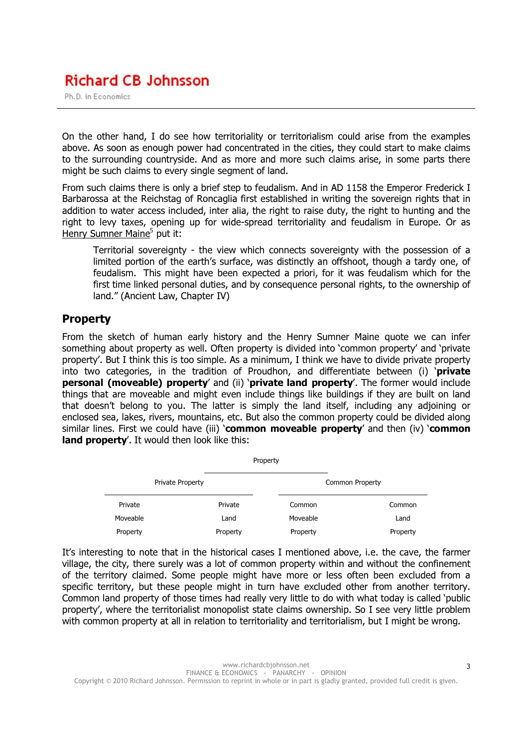Ph.D. in Economics

On the other hand, I do see how territoriality or territorialism could arise from the examples above. As soon as enough power had concentrated in the cities, they could start to make claims to the surrounding countryside. And as more and more such claims arise, in some parts there might be such claims to every single segment of land.

From such claims there is only a brief step to feudalism. And in AD 1158 the Emperor Frederick I Barbarossa at the Reichstag of Roncaglia first established in writing the sovereign rights that in addition to water access included, inter alia, the right to raise duty, the right to hunting and the right to levy taxes, opening up for wide-spread territoriality and feudalism in Europe. Or as Henry Sumner Maine<sup>5</sup> put it:

Territorial sovereignty - the view which connects sovereignty with the possession of a limited portion of the earth's surface, was distinctly an offshoot, though a tardy one, of feudalism. This might have been expected a priori, for it was feudalism which for the first time linked personal duties, and by consequence personal rights, to the ownership of land." (Ancient Law, Chapter IV)

#### Property

From the sketch of human early history and the Henry Sumner Maine quote we can infer something about property as well. Often property is divided into 'common property' and 'private property'. But I think this is too simple. As a minimum, I think we have to divide private property into two categories, in the tradition of Proudhon, and differentiate between (i) '**private** personal (moveable) property' and (ii) 'private land property'. The former would include things that are moveable and might even include things like buildings if they are built on land that doesn't belong to you. The latter is simply the land itself, including any adjoining or enclosed sea, lakes, rivers, mountains, etc. But also the common property could be divided along similar lines. First we could have (iii) **'common moveable property'** and then (iv) **'common** land property'. It would then look like this:

|                  | Property |                        |          |
|------------------|----------|------------------------|----------|
| Private Property |          | <b>Common Property</b> |          |
| Private          | Private  | Common                 | Common   |
| Moveable         | Land     | Moveable               | Land     |
| Property         | Property | Property               | Property |

It's interesting to note that in the historical cases I mentioned above, i.e. the cave, the farmer village, the city, there surely was a lot of common property within and without the confinement of the territory claimed. Some people might have more or less often been excluded from a specific territory, but these people might in turn have excluded other from another territory. Common land property of those times had really very little to do with what today is called 'public property', where the territorialist monopolist state claims ownership. So I see very little problem with common property at all in relation to territoriality and territorialism, but I might be wrong.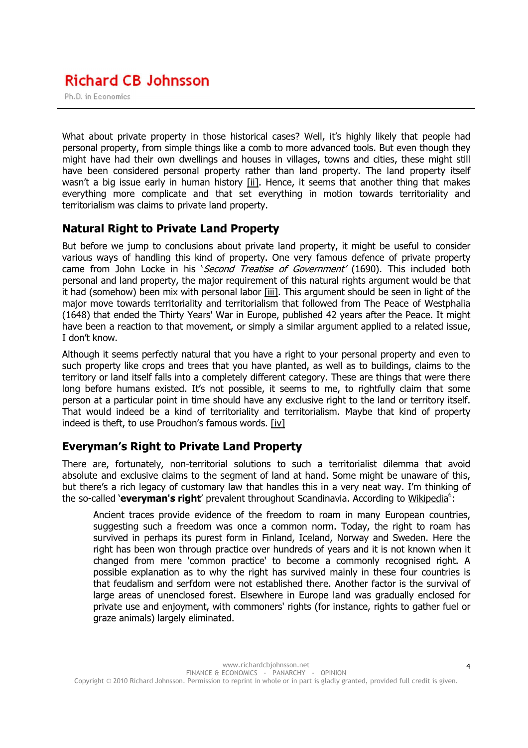Ph.D. in Economics

What about private property in those historical cases? Well, it's highly likely that people had personal property, from simple things like a comb to more advanced tools. But even though they might have had their own dwellings and houses in villages, towns and cities, these might still have been considered personal property rather than land property. The land property itself wasn't a big issue early in human history [ii]. Hence, it seems that another thing that makes everything more complicate and that set everything in motion towards territoriality and territorialism was claims to private land property.

#### Natural Right to Private Land Property

But before we jump to conclusions about private land property, it might be useful to consider various ways of handling this kind of property. One very famous defence of private property came from John Locke in his 'Second Treatise of Government' (1690). This included both personal and land property, the major requirement of this natural rights argument would be that it had (somehow) been mix with personal labor [iii]. This argument should be seen in light of the major move towards territoriality and territorialism that followed from The Peace of Westphalia (1648) that ended the Thirty Years' War in Europe, published 42 years after the Peace. It might have been a reaction to that movement, or simply a similar argument applied to a related issue, I don't know.

Although it seems perfectly natural that you have a right to your personal property and even to such property like crops and trees that you have planted, as well as to buildings, claims to the territory or land itself falls into a completely different category. These are things that were there long before humans existed. It's not possible, it seems to me, to rightfully claim that some person at a particular point in time should have any exclusive right to the land or territory itself. That would indeed be a kind of territoriality and territorialism. Maybe that kind of property indeed is theft, to use Proudhon's famous words. [iv]

### Everyman's Right to Private Land Property

There are, fortunately, non-territorial solutions to such a territorialist dilemma that avoid absolute and exclusive claims to the segment of land at hand. Some might be unaware of this, but there's a rich legacy of customary law that handles this in a very neat way. I'm thinking of the so-called 'everyman's right' prevalent throughout Scandinavia. According to Wikipedia<sup>6</sup>:

Ancient traces provide evidence of the freedom to roam in many European countries, suggesting such a freedom was once a common norm. Today, the right to roam has survived in perhaps its purest form in Finland, Iceland, Norway and Sweden. Here the right has been won through practice over hundreds of years and it is not known when it changed from mere 'common practice' to become a commonly recognised right. A possible explanation as to why the right has survived mainly in these four countries is that feudalism and serfdom were not established there. Another factor is the survival of large areas of unenclosed forest. Elsewhere in Europe land was gradually enclosed for private use and enjoyment, with commoners' rights (for instance, rights to gather fuel or graze animals) largely eliminated.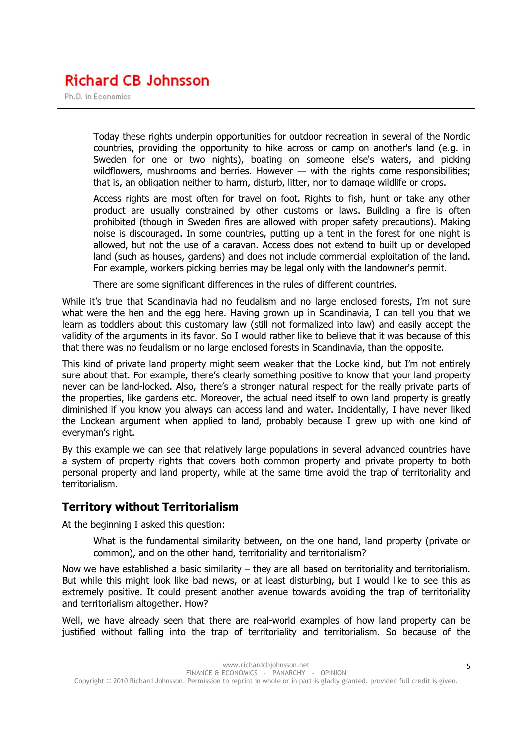Ph.D. in Economics

Today these rights underpin opportunities for outdoor recreation in several of the Nordic countries, providing the opportunity to hike across or camp on another's land (e.g. in Sweden for one or two nights), boating on someone else's waters, and picking wildflowers, mushrooms and berries. However — with the rights come responsibilities; that is, an obligation neither to harm, disturb, litter, nor to damage wildlife or crops.

Access rights are most often for travel on foot. Rights to fish, hunt or take any other product are usually constrained by other customs or laws. Building a fire is often prohibited (though in Sweden fires are allowed with proper safety precautions). Making noise is discouraged. In some countries, putting up a tent in the forest for one night is allowed, but not the use of a caravan. Access does not extend to built up or developed land (such as houses, gardens) and does not include commercial exploitation of the land. For example, workers picking berries may be legal only with the landowner's permit.

There are some significant differences in the rules of different countries.

While it's true that Scandinavia had no feudalism and no large enclosed forests, I'm not sure what were the hen and the egg here. Having grown up in Scandinavia, I can tell you that we learn as toddlers about this customary law (still not formalized into law) and easily accept the validity of the arguments in its favor. So I would rather like to believe that it was because of this that there was no feudalism or no large enclosed forests in Scandinavia, than the opposite.

This kind of private land property might seem weaker that the Locke kind, but I'm not entirely sure about that. For example, there's clearly something positive to know that your land property never can be land-locked. Also, there's a stronger natural respect for the really private parts of the properties, like gardens etc. Moreover, the actual need itself to own land property is greatly diminished if you know you always can access land and water. Incidentally, I have never liked the Lockean argument when applied to land, probably because I grew up with one kind of everyman's right.

By this example we can see that relatively large populations in several advanced countries have a system of property rights that covers both common property and private property to both personal property and land property, while at the same time avoid the trap of territoriality and territorialism.

#### Territory without Territorialism

At the beginning I asked this question:

What is the fundamental similarity between, on the one hand, land property (private or common), and on the other hand, territoriality and territorialism?

Now we have established a basic similarity – they are all based on territoriality and territorialism. But while this might look like bad news, or at least disturbing, but I would like to see this as extremely positive. It could present another avenue towards avoiding the trap of territoriality and territorialism altogether. How?

Well, we have already seen that there are real-world examples of how land property can be justified without falling into the trap of territoriality and territorialism. So because of the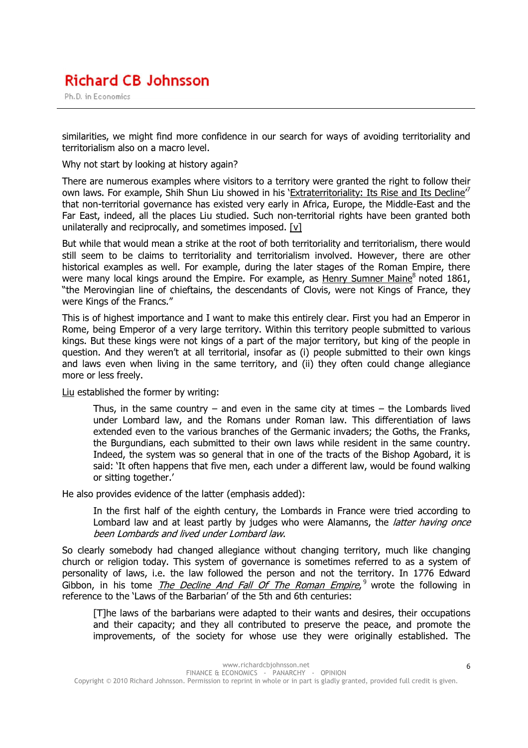Ph.D. in Economics

similarities, we might find more confidence in our search for ways of avoiding territoriality and territorialism also on a macro level.

Why not start by looking at history again?

There are numerous examples where visitors to a territory were granted the right to follow their own laws. For example, Shih Shun Liu showed in his 'Extraterritoriality: Its Rise and Its Decline<sup>r7</sup> that non-territorial governance has existed very early in Africa, Europe, the Middle-East and the Far East, indeed, all the places Liu studied. Such non-territorial rights have been granted both unilaterally and reciprocally, and sometimes imposed.  $[v]$ 

But while that would mean a strike at the root of both territoriality and territorialism, there would still seem to be claims to territoriality and territorialism involved. However, there are other historical examples as well. For example, during the later stages of the Roman Empire, there were many local kings around the Empire. For example, as Henry Sumner Maine<sup>8</sup> noted 1861, "the Merovingian line of chieftains, the descendants of Clovis, were not Kings of France, they were Kings of the Francs."

This is of highest importance and I want to make this entirely clear. First you had an Emperor in Rome, being Emperor of a very large territory. Within this territory people submitted to various kings. But these kings were not kings of a part of the major territory, but king of the people in question. And they weren't at all territorial, insofar as (i) people submitted to their own kings and laws even when living in the same territory, and (ii) they often could change allegiance more or less freely.

Liu established the former by writing:

Thus, in the same country – and even in the same city at times – the Lombards lived under Lombard law, and the Romans under Roman law. This differentiation of laws extended even to the various branches of the Germanic invaders; the Goths, the Franks, the Burgundians, each submitted to their own laws while resident in the same country. Indeed, the system was so general that in one of the tracts of the Bishop Agobard, it is said: 'It often happens that five men, each under a different law, would be found walking or sitting together.'

He also provides evidence of the latter (emphasis added):

In the first half of the eighth century, the Lombards in France were tried according to Lombard law and at least partly by judges who were Alamanns, the *latter having once* been Lombards and lived under Lombard law.

So clearly somebody had changed allegiance without changing territory, much like changing church or religion today. This system of governance is sometimes referred to as a system of personality of laws, i.e. the law followed the person and not the territory. In 1776 Edward .<br>Gibbon, in his tome *The Decline And Fall Of The Roman Empire*, <sup>9</sup> wrote the following in reference to the 'Laws of the Barbarian' of the 5th and 6th centuries:

[T]he laws of the barbarians were adapted to their wants and desires, their occupations and their capacity; and they all contributed to preserve the peace, and promote the improvements, of the society for whose use they were originally established. The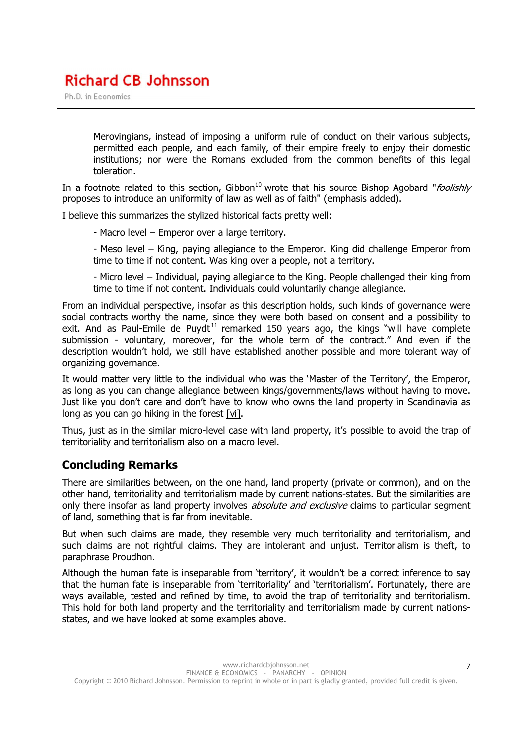Ph.D. in Economics

Merovingians, instead of imposing a uniform rule of conduct on their various subjects, permitted each people, and each family, of their empire freely to enjoy their domestic institutions; nor were the Romans excluded from the common benefits of this legal toleration.

In a footnote related to this section,  $Gibbon^{10}$  wrote that his source Bishop Agobard "foolishly proposes to introduce an uniformity of law as well as of faith" (emphasis added).

I believe this summarizes the stylized historical facts pretty well:

- Macro level Emperor over a large territory.
- Meso level King, paying allegiance to the Emperor. King did challenge Emperor from time to time if not content. Was king over a people, not a territory.

- Micro level – Individual, paying allegiance to the King. People challenged their king from time to time if not content. Individuals could voluntarily change allegiance.

From an individual perspective, insofar as this description holds, such kinds of governance were social contracts worthy the name, since they were both based on consent and a possibility to exit. And as Paul-Emile de Puydt<sup>11</sup> remarked 150 years ago, the kings "will have complete submission - voluntary, moreover, for the whole term of the contract." And even if the description wouldn't hold, we still have established another possible and more tolerant way of organizing governance.

It would matter very little to the individual who was the 'Master of the Territory', the Emperor, as long as you can change allegiance between kings/governments/laws without having to move. Just like you don't care and don't have to know who owns the land property in Scandinavia as long as you can go hiking in the forest [vi].

Thus, just as in the similar micro-level case with land property, it's possible to avoid the trap of territoriality and territorialism also on a macro level.

#### Concluding Remarks

There are similarities between, on the one hand, land property (private or common), and on the other hand, territoriality and territorialism made by current nations-states. But the similarities are only there insofar as land property involves *absolute and exclusive* claims to particular segment of land, something that is far from inevitable.

But when such claims are made, they resemble very much territoriality and territorialism, and such claims are not rightful claims. They are intolerant and unjust. Territorialism is theft, to paraphrase Proudhon.

Although the human fate is inseparable from 'territory', it wouldn't be a correct inference to say that the human fate is inseparable from 'territoriality' and 'territorialism'. Fortunately, there are ways available, tested and refined by time, to avoid the trap of territoriality and territorialism. This hold for both land property and the territoriality and territorialism made by current nationsstates, and we have looked at some examples above.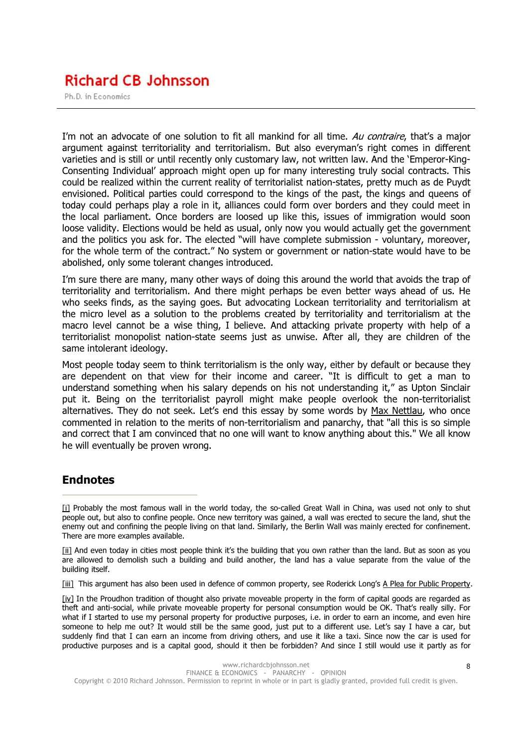Ph.D. in Economics

I'm not an advocate of one solution to fit all mankind for all time. Au contraire, that's a major argument against territoriality and territorialism. But also everyman's right comes in different varieties and is still or until recently only customary law, not written law. And the 'Emperor-King-Consenting Individual' approach might open up for many interesting truly social contracts. This could be realized within the current reality of territorialist nation-states, pretty much as de Puydt envisioned. Political parties could correspond to the kings of the past, the kings and queens of today could perhaps play a role in it, alliances could form over borders and they could meet in the local parliament. Once borders are loosed up like this, issues of immigration would soon loose validity. Elections would be held as usual, only now you would actually get the government and the politics you ask for. The elected "will have complete submission - voluntary, moreover, for the whole term of the contract." No system or government or nation-state would have to be abolished, only some tolerant changes introduced.

I'm sure there are many, many other ways of doing this around the world that avoids the trap of territoriality and territorialism. And there might perhaps be even better ways ahead of us. He who seeks finds, as the saying goes. But advocating Lockean territoriality and territorialism at the micro level as a solution to the problems created by territoriality and territorialism at the macro level cannot be a wise thing, I believe. And attacking private property with help of a territorialist monopolist nation-state seems just as unwise. After all, they are children of the same intolerant ideology.

Most people today seem to think territorialism is the only way, either by default or because they are dependent on that view for their income and career. "It is difficult to get a man to understand something when his salary depends on his not understanding it," as Upton Sinclair put it. Being on the territorialist payroll might make people overlook the non-territorialist alternatives. They do not seek. Let's end this essay by some words by Max Nettlau, who once commented in relation to the merits of non-territorialism and panarchy, that "all this is so simple and correct that I am convinced that no one will want to know anything about this." We all know he will eventually be proven wrong.

#### **Endnotes**

[ii] And even today in cities most people think it's the building that you own rather than the land. But as soon as you are allowed to demolish such a building and build another, the land has a value separate from the value of the building itself.

[iii] This argument has also been used in defence of common property, see Roderick Long's A Plea for Public Property.

[iv] In the Proudhon tradition of thought also private moveable property in the form of capital goods are regarded as theft and anti-social, while private moveable property for personal consumption would be OK. That's really silly. For what if I started to use my personal property for productive purposes, i.e. in order to earn an income, and even hire someone to help me out? It would still be the same good, just put to a different use. Let's say I have a car, but suddenly find that I can earn an income from driving others, and use it like a taxi. Since now the car is used for productive purposes and is a capital good, should it then be forbidden? And since I still would use it partly as for

<sup>[</sup>i] Probably the most famous wall in the world today, the so-called Great Wall in China, was used not only to shut people out, but also to confine people. Once new territory was gained, a wall was erected to secure the land, shut the enemy out and confining the people living on that land. Similarly, the Berlin Wall was mainly erected for confinement. There are more examples available.